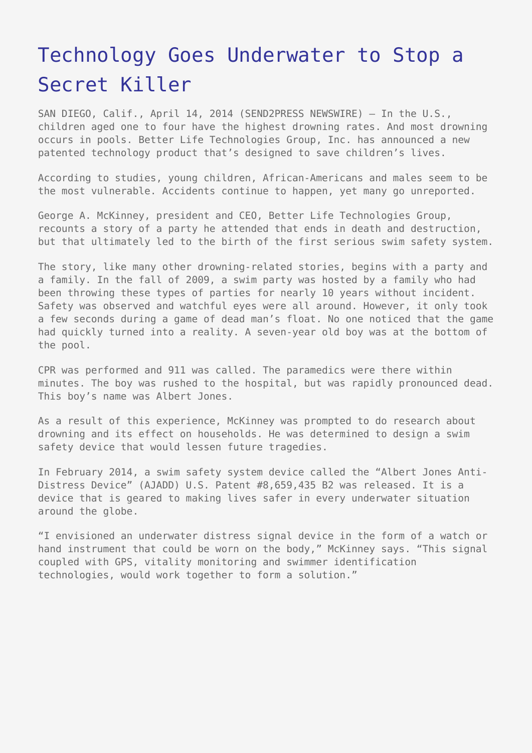## [Technology Goes Underwater to Stop a](https://www.send2press.com/wire/technology-goes-underwater-to-stop-a-secret-killer_2014-04-0414-006/) [Secret Killer](https://www.send2press.com/wire/technology-goes-underwater-to-stop-a-secret-killer_2014-04-0414-006/)

SAN DIEGO, Calif., April 14, 2014 (SEND2PRESS NEWSWIRE) — In the U.S., children aged one to four have the highest drowning rates. And most drowning occurs in pools. Better Life Technologies Group, Inc. has announced a new patented technology product that's designed to save children's lives.

According to studies, young children, African-Americans and males seem to be the most vulnerable. Accidents continue to happen, yet many go unreported.

George A. McKinney, president and CEO, Better Life Technologies Group, recounts a story of a party he attended that ends in death and destruction, but that ultimately led to the birth of the first serious swim safety system.

The story, like many other drowning-related stories, begins with a party and a family. In the fall of 2009, a swim party was hosted by a family who had been throwing these types of parties for nearly 10 years without incident. Safety was observed and watchful eyes were all around. However, it only took a few seconds during a game of dead man's float. No one noticed that the game had quickly turned into a reality. A seven-year old boy was at the bottom of the pool.

CPR was performed and 911 was called. The paramedics were there within minutes. The boy was rushed to the hospital, but was rapidly pronounced dead. This boy's name was Albert Jones.

As a result of this experience, McKinney was prompted to do research about drowning and its effect on households. He was determined to design a swim safety device that would lessen future tragedies.

In February 2014, a swim safety system device called the "Albert Jones Anti-Distress Device" (AJADD) U.S. Patent #8,659,435 B2 was released. It is a device that is geared to making lives safer in every underwater situation around the globe.

"I envisioned an underwater distress signal device in the form of a watch or hand instrument that could be worn on the body," McKinney says. "This signal coupled with GPS, vitality monitoring and swimmer identification technologies, would work together to form a solution."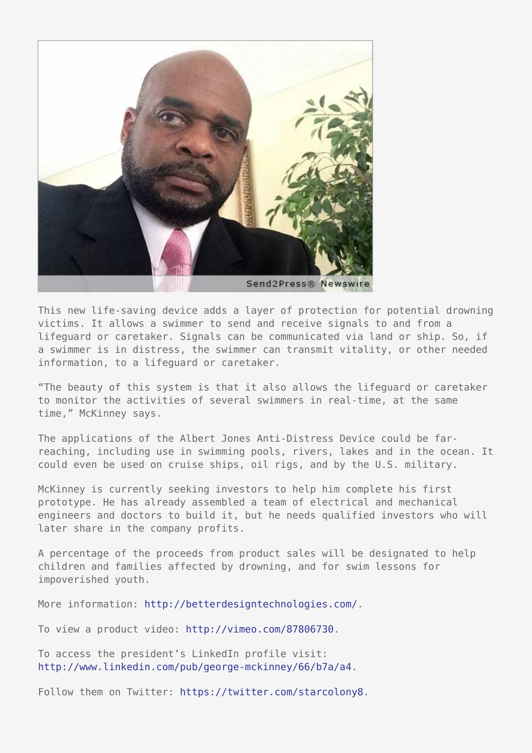

This new life-saving device adds a layer of protection for potential drowning victims. It allows a swimmer to send and receive signals to and from a lifeguard or caretaker. Signals can be communicated via land or ship. So, if a swimmer is in distress, the swimmer can transmit vitality, or other needed information, to a lifeguard or caretaker.

"The beauty of this system is that it also allows the lifeguard or caretaker to monitor the activities of several swimmers in real-time, at the same time," McKinney says.

The applications of the Albert Jones Anti-Distress Device could be farreaching, including use in swimming pools, rivers, lakes and in the ocean. It could even be used on cruise ships, oil rigs, and by the U.S. military.

McKinney is currently seeking investors to help him complete his first prototype. He has already assembled a team of electrical and mechanical engineers and doctors to build it, but he needs qualified investors who will later share in the company profits.

A percentage of the proceeds from product sales will be designated to help children and families affected by drowning, and for swim lessons for impoverished youth.

More information: <http://betterdesigntechnologies.com/>.

To view a product video: [http://vimeo.com/87806730.](http://vimeo.com/87806730)

To access the president's LinkedIn profile visit: <http://www.linkedin.com/pub/george-mckinney/66/b7a/a4>.

Follow them on Twitter: [https://twitter.com/starcolony8.](https://twitter.com/starcolony8)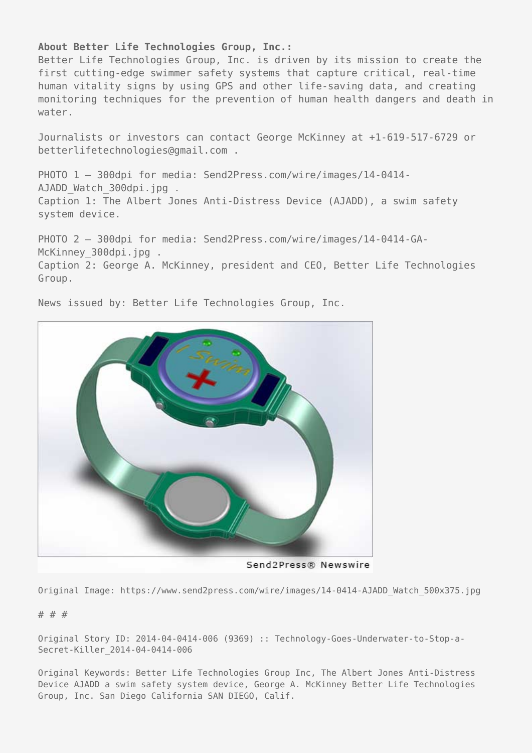## **About Better Life Technologies Group, Inc.:**

Better Life Technologies Group, Inc. is driven by its mission to create the first cutting-edge swimmer safety systems that capture critical, real-time human vitality signs by using GPS and other life-saving data, and creating monitoring techniques for the prevention of human health dangers and death in water.

Journalists or investors can contact George McKinney at +1-619-517-6729 or betterlifetechnologies@gmail.com .

PHOTO 1 - 300dpi for media: Send2Press.com/wire/images/14-0414-AJADD Watch 300dpi.jpg . Caption 1: The Albert Jones Anti-Distress Device (AJADD), a swim safety system device.

PHOTO 2 - 300dpi for media: Send2Press.com/wire/images/14-0414-GA-McKinney 300dpi.jpg . Caption 2: George A. McKinney, president and CEO, Better Life Technologies Group.

Send2Press® Newswire

News issued by: Better Life Technologies Group, Inc.

Original Image: https://www.send2press.com/wire/images/14-0414-AJADD\_Watch\_500x375.jpg

## # # #

Original Story ID: 2014-04-0414-006 (9369) :: Technology-Goes-Underwater-to-Stop-a-Secret-Killer\_2014-04-0414-006

Original Keywords: Better Life Technologies Group Inc, The Albert Jones Anti-Distress Device AJADD a swim safety system device, George A. McKinney Better Life Technologies Group, Inc. San Diego California SAN DIEGO, Calif.